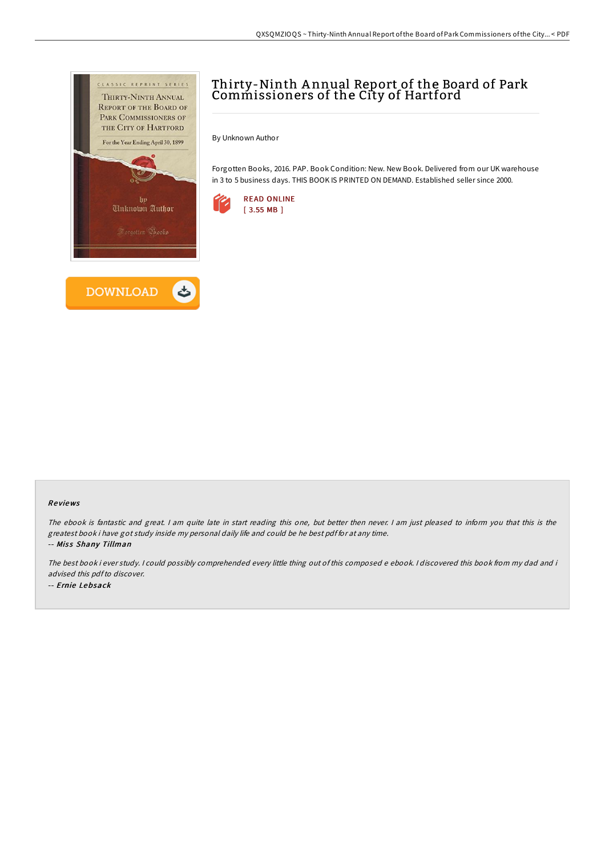

# Thirty-Ninth A nnual Report of the Board of Park Commissioners of the City of Hartford

By Unknown Author

Forgotten Books, 2016. PAP. Book Condition: New. New Book. Delivered from our UK warehouse in 3 to 5 business days. THIS BOOK IS PRINTED ON DEMAND. Established seller since 2000.



#### Re views

The ebook is fantastic and great. <sup>I</sup> am quite late in start reading this one, but better then never. <sup>I</sup> am just pleased to inform you that this is the greatest book i have got study inside my personal daily life and could be he best pdf for at any time. -- Miss Shany Tillman

The best book i ever study. <sup>I</sup> could possibly comprehended every little thing out of this composed <sup>e</sup> ebook. <sup>I</sup> discovered this book from my dad and i advised this pdfto discover. -- Ernie Lebsack